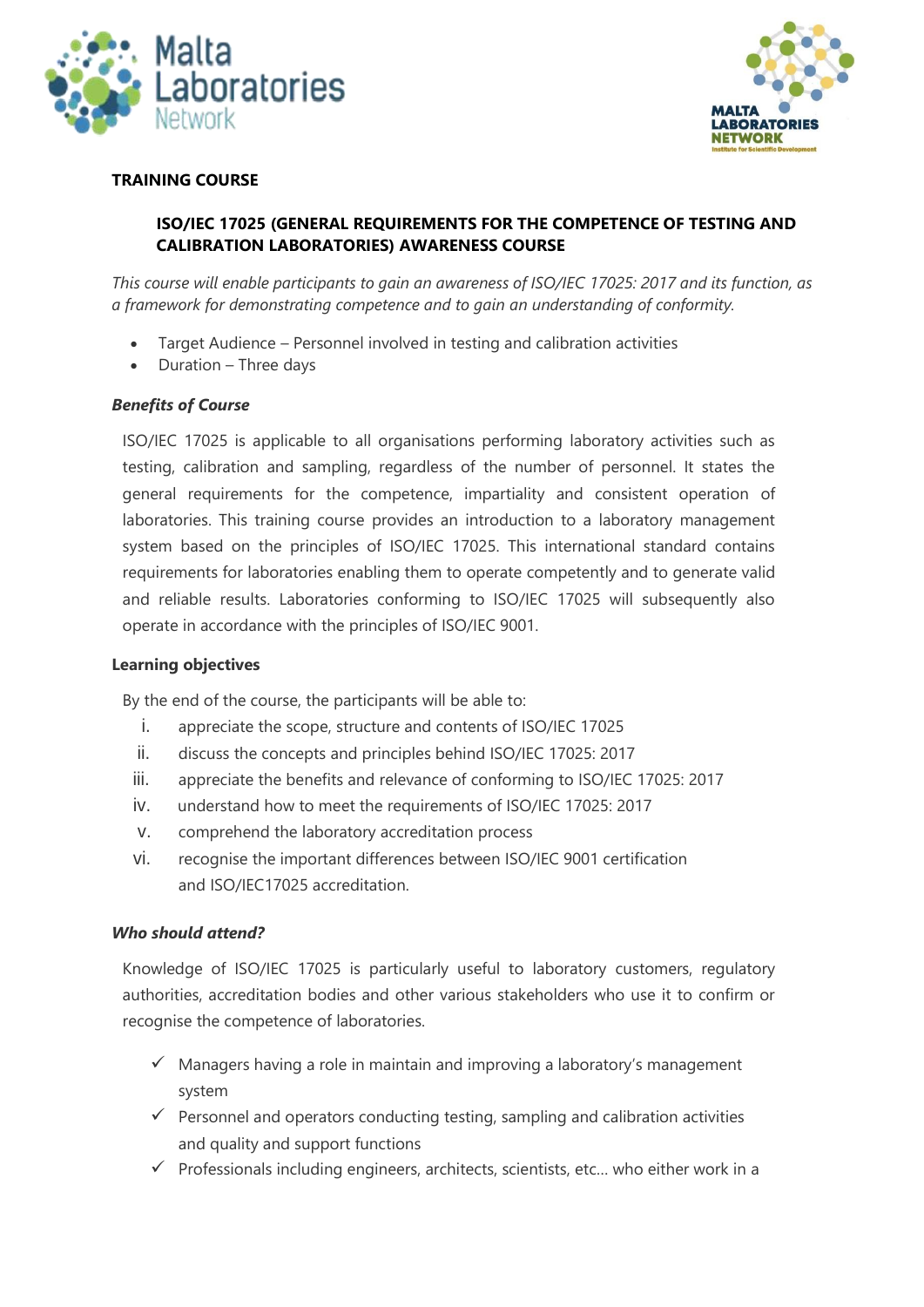



### **TRAINING COURSE**

## **ISO/IEC 17025 (GENERAL REQUIREMENTS FOR THE COMPETENCE OF TESTING AND CALIBRATION LABORATORIES) AWARENESS COURSE**

*This course will enable participants to gain an awareness of ISO/IEC 17025: 2017 and its function, as a framework for demonstrating competence and to gain an understanding of conformity.*

- Target Audience Personnel involved in testing and calibration activities
- Duration Three days

#### *Benefits of Course*

ISO/IEC 17025 is applicable to all organisations performing laboratory activities such as testing, calibration and sampling, regardless of the number of personnel. It states the general requirements for the competence, impartiality and consistent operation of laboratories. This training course provides an introduction to a laboratory management system based on the principles of ISO/IEC 17025. This international standard contains requirements for laboratories enabling them to operate competently and to generate valid and reliable results. Laboratories conforming to ISO/IEC 17025 will subsequently also operate in accordance with the principles of ISO/IEC 9001.

#### **Learning objectives**

By the end of the course, the participants will be able to:

- i. appreciate the scope, structure and contents of ISO/IEC 17025
- ii. discuss the concepts and principles behind ISO/IEC 17025: 2017
- iii. appreciate the benefits and relevance of conforming to ISO/IEC 17025: 2017
- iv. understand how to meet the requirements of ISO/IEC 17025: 2017
- v. comprehend the laboratory accreditation process
- vi. recognise the important differences between ISO/IEC 9001 certification and ISO/IEC17025 accreditation.

#### *Who should attend?*

Knowledge of ISO/IEC 17025 is particularly useful to laboratory customers, regulatory authorities, accreditation bodies and other various stakeholders who use it to confirm or recognise the competence of laboratories.

- $\checkmark$  Managers having a role in maintain and improving a laboratory's management system
- $\checkmark$  Personnel and operators conducting testing, sampling and calibration activities and quality and support functions
- $\checkmark$  Professionals including engineers, architects, scientists, etc... who either work in a